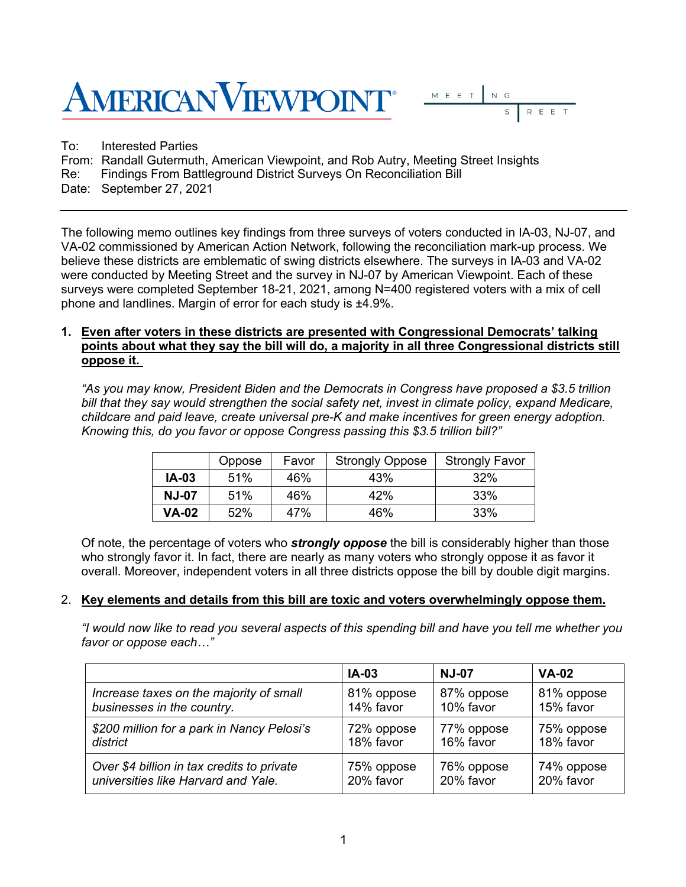



To: Interested Parties From: Randall Gutermuth, American Viewpoint, and Rob Autry, Meeting Street Insights Re: Findings From Battleground District Surveys On Reconciliation Bill Date: September 27, 2021

The following memo outlines key findings from three surveys of voters conducted in IA-03, NJ-07, and VA-02 commissioned by American Action Network, following the reconciliation mark-up process. We believe these districts are emblematic of swing districts elsewhere. The surveys in IA-03 and VA-02 were conducted by Meeting Street and the survey in NJ-07 by American Viewpoint. Each of these surveys were completed September 18-21, 2021, among N=400 registered voters with a mix of cell phone and landlines. Margin of error for each study is ±4.9%.

## **1. Even after voters in these districts are presented with Congressional Democrats' talking points about what they say the bill will do, a majority in all three Congressional districts still oppose it.**

*"As you may know, President Biden and the Democrats in Congress have proposed a \$3.5 trillion bill that they say would strengthen the social safety net, invest in climate policy, expand Medicare, childcare and paid leave, create universal pre-K and make incentives for green energy adoption. Knowing this, do you favor or oppose Congress passing this \$3.5 trillion bill?"*

|              | Oppose | Favor | <b>Strongly Oppose</b> | <b>Strongly Favor</b> |
|--------------|--------|-------|------------------------|-----------------------|
| <b>IA-03</b> | 51%    | 46%   | 43%                    | 32%                   |
| <b>NJ-07</b> | 51%    | 46%   | 42%                    | 33%                   |
| <b>VA-02</b> | 52%    | 47%   | 46%                    | 33%                   |

Of note, the percentage of voters who *strongly oppose* the bill is considerably higher than those who strongly favor it. In fact, there are nearly as many voters who strongly oppose it as favor it overall. Moreover, independent voters in all three districts oppose the bill by double digit margins.

## 2. **Key elements and details from this bill are toxic and voters overwhelmingly oppose them.**

*"I would now like to read you several aspects of this spending bill and have you tell me whether you favor or oppose each…"* 

|                                            | <b>IA-03</b> | <b>NJ-07</b> | $VA-02$    |
|--------------------------------------------|--------------|--------------|------------|
| Increase taxes on the majority of small    | 81% oppose   | 87% oppose   | 81% oppose |
| businesses in the country.                 | 14% favor    | 10% favor    | 15% favor  |
| \$200 million for a park in Nancy Pelosi's | 72% oppose   | 77% oppose   | 75% oppose |
| district                                   | 18% favor    | 16% favor    | 18% favor  |
| Over \$4 billion in tax credits to private | 75% oppose   | 76% oppose   | 74% oppose |
| universities like Harvard and Yale.        | 20% favor    | 20% favor    | 20% favor  |